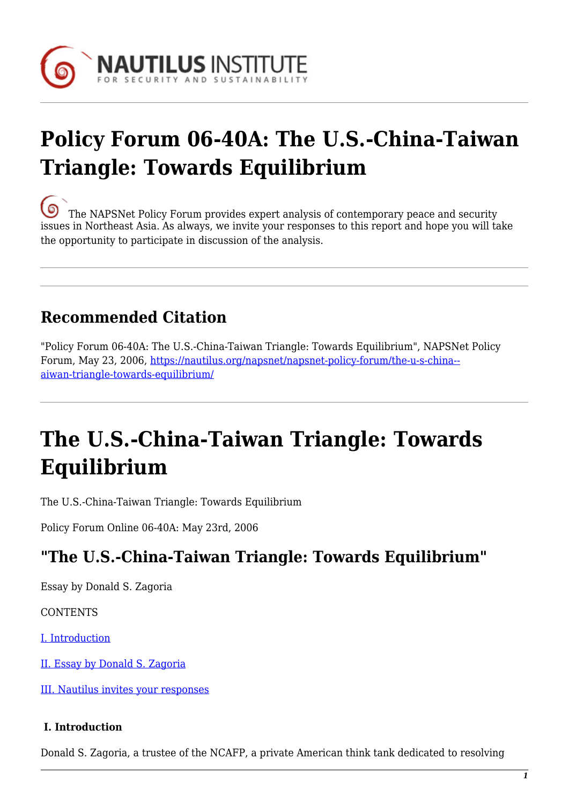

# **Policy Forum 06-40A: The U.S.-China-Taiwan Triangle: Towards Equilibrium**

[T](https://nautilus.org/wp-content/uploads/2013/05/nautilus-logo-small.png)he NAPSNet Policy Forum provides expert analysis of contemporary peace and security issues in Northeast Asia. As always, we invite your responses to this report and hope you will take the opportunity to participate in discussion of the analysis.

### **Recommended Citation**

"Policy Forum 06-40A: The U.S.-China-Taiwan Triangle: Towards Equilibrium", NAPSNet Policy Forum, May 23, 2006, [https://nautilus.org/napsnet/napsnet-policy-forum/the-u-s-china-](https://nautilus.org/napsnet/napsnet-policy-forum/the-u-s-china-taiwan-triangle-towards-equilibrium/) [aiwan-triangle-towards-equilibrium/](https://nautilus.org/napsnet/napsnet-policy-forum/the-u-s-china-taiwan-triangle-towards-equilibrium/)

## **The U.S.-China-Taiwan Triangle: Towards Equilibrium**

The U.S.-China-Taiwan Triangle: Towards Equilibrium

Policy Forum Online 06-40A: May 23rd, 2006

### **"The U.S.-China-Taiwan Triangle: Towards Equilibrium"**

Essay by Donald S. Zagoria

**CONTENTS** 

[I. Introduction](#page-0-0)

[II. Essay by Donald S. Zagoria](#page-1-0)

[III. Nautilus invites your responses](#page-3-0)

#### <span id="page-0-0"></span> **I. Introduction**

Donald S. Zagoria, a trustee of the NCAFP, a private American think tank dedicated to resolving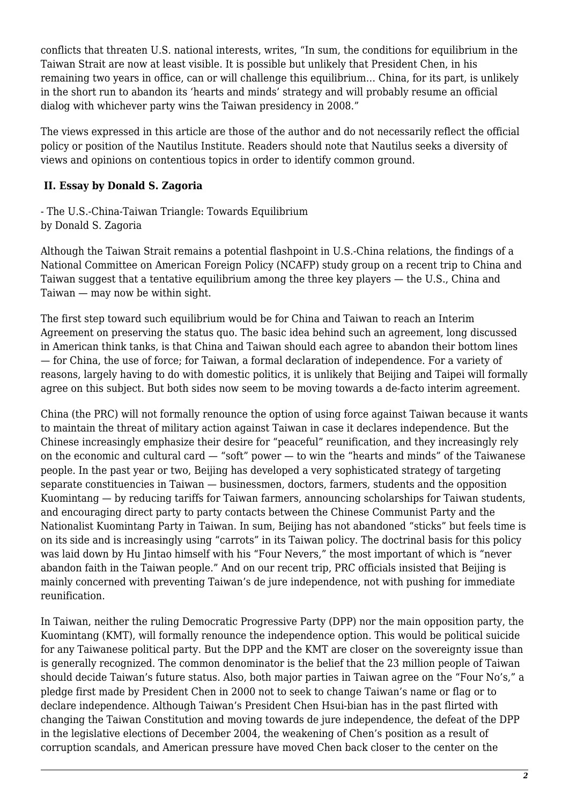conflicts that threaten U.S. national interests, writes, "In sum, the conditions for equilibrium in the Taiwan Strait are now at least visible. It is possible but unlikely that President Chen, in his remaining two years in office, can or will challenge this equilibrium… China, for its part, is unlikely in the short run to abandon its 'hearts and minds' strategy and will probably resume an official dialog with whichever party wins the Taiwan presidency in 2008."

The views expressed in this article are those of the author and do not necessarily reflect the official policy or position of the Nautilus Institute. Readers should note that Nautilus seeks a diversity of views and opinions on contentious topics in order to identify common ground.

### <span id="page-1-0"></span> **II. Essay by Donald S. Zagoria**

- The U.S.-China-Taiwan Triangle: Towards Equilibrium by Donald S. Zagoria

Although the Taiwan Strait remains a potential flashpoint in U.S.-China relations, the findings of a National Committee on American Foreign Policy (NCAFP) study group on a recent trip to China and Taiwan suggest that a tentative equilibrium among the three key players — the U.S., China and Taiwan — may now be within sight.

The first step toward such equilibrium would be for China and Taiwan to reach an Interim Agreement on preserving the status quo. The basic idea behind such an agreement, long discussed in American think tanks, is that China and Taiwan should each agree to abandon their bottom lines — for China, the use of force; for Taiwan, a formal declaration of independence. For a variety of reasons, largely having to do with domestic politics, it is unlikely that Beijing and Taipei will formally agree on this subject. But both sides now seem to be moving towards a de-facto interim agreement.

China (the PRC) will not formally renounce the option of using force against Taiwan because it wants to maintain the threat of military action against Taiwan in case it declares independence. But the Chinese increasingly emphasize their desire for "peaceful" reunification, and they increasingly rely on the economic and cultural card — "soft" power — to win the "hearts and minds" of the Taiwanese people. In the past year or two, Beijing has developed a very sophisticated strategy of targeting separate constituencies in Taiwan — businessmen, doctors, farmers, students and the opposition Kuomintang — by reducing tariffs for Taiwan farmers, announcing scholarships for Taiwan students, and encouraging direct party to party contacts between the Chinese Communist Party and the Nationalist Kuomintang Party in Taiwan. In sum, Beijing has not abandoned "sticks" but feels time is on its side and is increasingly using "carrots" in its Taiwan policy. The doctrinal basis for this policy was laid down by Hu Jintao himself with his "Four Nevers," the most important of which is "never abandon faith in the Taiwan people." And on our recent trip, PRC officials insisted that Beijing is mainly concerned with preventing Taiwan's de jure independence, not with pushing for immediate reunification.

In Taiwan, neither the ruling Democratic Progressive Party (DPP) nor the main opposition party, the Kuomintang (KMT), will formally renounce the independence option. This would be political suicide for any Taiwanese political party. But the DPP and the KMT are closer on the sovereignty issue than is generally recognized. The common denominator is the belief that the 23 million people of Taiwan should decide Taiwan's future status. Also, both major parties in Taiwan agree on the "Four No's," a pledge first made by President Chen in 2000 not to seek to change Taiwan's name or flag or to declare independence. Although Taiwan's President Chen Hsui-bian has in the past flirted with changing the Taiwan Constitution and moving towards de jure independence, the defeat of the DPP in the legislative elections of December 2004, the weakening of Chen's position as a result of corruption scandals, and American pressure have moved Chen back closer to the center on the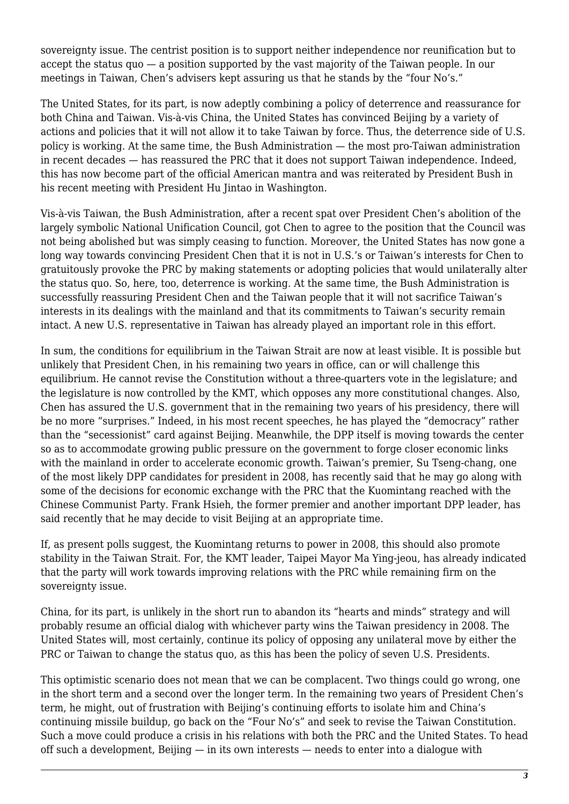sovereignty issue. The centrist position is to support neither independence nor reunification but to accept the status quo — a position supported by the vast majority of the Taiwan people. In our meetings in Taiwan, Chen's advisers kept assuring us that he stands by the "four No's."

The United States, for its part, is now adeptly combining a policy of deterrence and reassurance for both China and Taiwan. Vis-à-vis China, the United States has convinced Beijing by a variety of actions and policies that it will not allow it to take Taiwan by force. Thus, the deterrence side of U.S. policy is working. At the same time, the Bush Administration — the most pro-Taiwan administration in recent decades — has reassured the PRC that it does not support Taiwan independence. Indeed, this has now become part of the official American mantra and was reiterated by President Bush in his recent meeting with President Hu Jintao in Washington.

Vis-à-vis Taiwan, the Bush Administration, after a recent spat over President Chen's abolition of the largely symbolic National Unification Council, got Chen to agree to the position that the Council was not being abolished but was simply ceasing to function. Moreover, the United States has now gone a long way towards convincing President Chen that it is not in U.S.'s or Taiwan's interests for Chen to gratuitously provoke the PRC by making statements or adopting policies that would unilaterally alter the status quo. So, here, too, deterrence is working. At the same time, the Bush Administration is successfully reassuring President Chen and the Taiwan people that it will not sacrifice Taiwan's interests in its dealings with the mainland and that its commitments to Taiwan's security remain intact. A new U.S. representative in Taiwan has already played an important role in this effort.

In sum, the conditions for equilibrium in the Taiwan Strait are now at least visible. It is possible but unlikely that President Chen, in his remaining two years in office, can or will challenge this equilibrium. He cannot revise the Constitution without a three-quarters vote in the legislature; and the legislature is now controlled by the KMT, which opposes any more constitutional changes. Also, Chen has assured the U.S. government that in the remaining two years of his presidency, there will be no more "surprises." Indeed, in his most recent speeches, he has played the "democracy" rather than the "secessionist" card against Beijing. Meanwhile, the DPP itself is moving towards the center so as to accommodate growing public pressure on the government to forge closer economic links with the mainland in order to accelerate economic growth. Taiwan's premier, Su Tseng-chang, one of the most likely DPP candidates for president in 2008, has recently said that he may go along with some of the decisions for economic exchange with the PRC that the Kuomintang reached with the Chinese Communist Party. Frank Hsieh, the former premier and another important DPP leader, has said recently that he may decide to visit Beijing at an appropriate time.

If, as present polls suggest, the Kuomintang returns to power in 2008, this should also promote stability in the Taiwan Strait. For, the KMT leader, Taipei Mayor Ma Ying-jeou, has already indicated that the party will work towards improving relations with the PRC while remaining firm on the sovereignty issue.

China, for its part, is unlikely in the short run to abandon its "hearts and minds" strategy and will probably resume an official dialog with whichever party wins the Taiwan presidency in 2008. The United States will, most certainly, continue its policy of opposing any unilateral move by either the PRC or Taiwan to change the status quo, as this has been the policy of seven U.S. Presidents.

This optimistic scenario does not mean that we can be complacent. Two things could go wrong, one in the short term and a second over the longer term. In the remaining two years of President Chen's term, he might, out of frustration with Beijing's continuing efforts to isolate him and China's continuing missile buildup, go back on the "Four No's" and seek to revise the Taiwan Constitution. Such a move could produce a crisis in his relations with both the PRC and the United States. To head off such a development, Beijing — in its own interests — needs to enter into a dialogue with